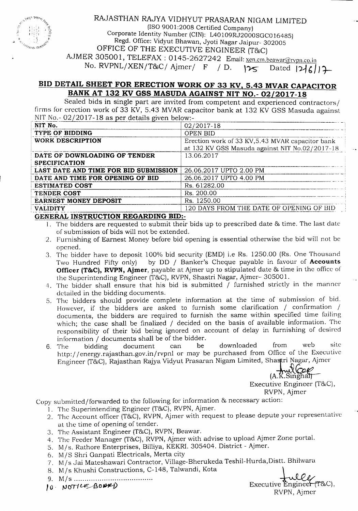

RAJASTHAN RAJYA VIDHYUT PRASARAN NIGAM LIMITED (ISO 9001:2008 Certified Company) Corporate Identity Number (CIN): L40109RJ2000SGC016485) Regd. Office: Vidyut Bhawan, Jyoti Nagar Jaipur- 302005 OFFICE OF THE EXECUTIVE ENGINEER (T&C) AJMER 305001, TELEFAX: 0145-2627242 Email: xen.cm.beawar@rvpn.co.in No. RVPNL/XEN/T&C/ Ajmer/ F / D.  $\sqrt{\frac{36}{5}}$  Dated  $\frac{1}{4}$ 

### BID DETAIL SHEET FOR ERECTION WORK OF 33 KV, 5.43 MVAR CAPACITOR BANK AT 132 KV GSS MASUDA AGAINST NIT NO.- 02/2017-18

Sealed bids in single part are invited from competent and experienced contractors/ firms for erection work of 33 KV, 5.43 MVAR capacitor bank at 132 KV GSS Masuda against

| NIT No. - $02/2017$ -18 as per details given below:- |                                                  |  |  |  |  |
|------------------------------------------------------|--------------------------------------------------|--|--|--|--|
| NIT No.                                              | 02/2017-18                                       |  |  |  |  |
| <b>TYPE OF BIDDING</b>                               | <b>OPEN BID</b>                                  |  |  |  |  |
| <b>WORK DESCRIPTION</b>                              | Erection work of 33 KV, 5.43 MVAR capacitor bank |  |  |  |  |
|                                                      | at 132 KV GSS Masuda against NIT No.02/2017-18   |  |  |  |  |
| DATE OF DOWNLOADING OF TENDER                        | 13.06.2017                                       |  |  |  |  |
| <b>SPECIFICATION</b>                                 |                                                  |  |  |  |  |
| LAST DATE AND TIME FOR BID SUBMISSION                | 26.06.2017 UPTO 2.00 PM                          |  |  |  |  |
| DATE AND TIME FOR OPENING OF BID                     | 26.06.2017 UPTO 4.00 PM                          |  |  |  |  |
| <b>ESTIMATED COST</b>                                | Rs. 61282.00                                     |  |  |  |  |
| <b>TENDER COST</b>                                   | Rs. 200.00                                       |  |  |  |  |
| <b>EARNEST MONEY DEPOSIT</b>                         | Rs. 1250.00                                      |  |  |  |  |
| <b>VALIDITY</b>                                      | 120 DAYS FROM THE DATE OF OPENING OF BID         |  |  |  |  |

#### GENERAL INSTRUCTION REGARDING BID:-

- I. The bidders are requested to submit their bids up to prescribed date & time. The last date of submission of bids will not be extended.
- 2. Furnishing of Earnest Money before bid opening is essential otherwise the bid will not be opened.
- 3. The bidder have to deposit 100% bid security (EMD) i.e Rs. 1250.00 (Rs. One Thousand Two Hundred Fifty only) by DD / Banker's Cheque payable in favour of Accounts **Officer (T&C), RVPN, Ajmer**, payable at Ajmer up to stipulated date & time in the office of the Superintending Engineer (T&C), RVPN, Shastri Nagar, Ajmer- 305001.
- 4. The bidder shall ensure that his bid is submitted / furnished strictly in the manner detailed in the bidding documents.
- 5. The bidders should provide complete information at the time of submission of bid. However, if the bidders are asked to furnish some clarification / confirmation / documents, the bidders are required to furnish the same within specified time failing which; the case shall be finalized / decided on the basis of available information. The responsibility of their bid being ignored on account of delay in furnishing of desired information / documents shall be of the bidder.
- 6. The bidding document can be downloaded from web site http://energy.rajasthan.gov.in/rvpnl or may be purchased from Office of the Executive Engineer (T&C), Rajasthan Rajya Vidyut Prasaran Nigam Limited, Shastri Nagar, Ajmer

Aul Cop Executive Engineer (T&C), RVPN, Ajmer

- Copy submitted/forwarded to the following for information & necessary action: 1. The Superintending Engineer (T&C), RVPN, Ajmer.
	- 2. The Account officer (T&C), RVPN, Ajmer with request to please depute your representative at the time of opening of tender.
	- 3. The Assistant Engineer (T&C), RVPN, Beawar.
	- 4. The Feeder Manager (T&C), RVPN, Ajmer with advise to upload Ajmer Zone portal.
	- 5. M/s. Rathore Enterprises, Billiya, KEKRI.305404. District Ajmer.
	- 6. M/S Shri Ganpati Electricals, Merta city
	- 7. M/s .Jai Mateshawari Contractor, Village-Bherukeda Teshil-Hurda, Distt. Bhilwara
	- *~..~j:* ~~~~.~i..~~.~.~~~~.~~~~~~:.~.-148, Talwandi, Kota \ \_*<sup>n</sup> <sup>~</sup>* <sup>A</sup> \_

1a **NOTILE BORR)** Executive Engineer (T&C), RVPN, Ajmer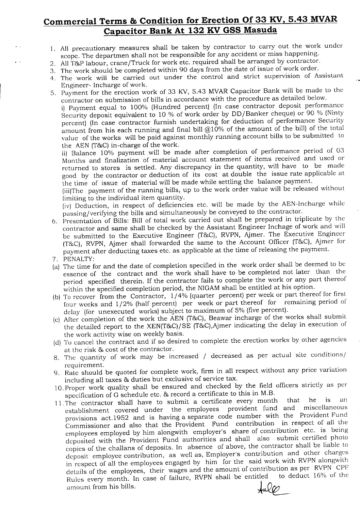## **Commercial Terms & Condition for Erection Of 33 KV, 5.43 MVAR Capacitor Bank At 132 KV GSS Masuda**

- 1. All precautionary measures shall be taken by contractor to carry out the work under scope. The departmen shall not be responsible for any accident or miss happening.
- 2. All T&P labour, crane/Truck for work etc. required shall be arranged by contractor.
- 3. The work should be completed within 90 days from the date of issue of work order.
- 4. The work will be carried out under the control and strict supervision of Assistant Engineer- Incharge of work.
- S. Payment for the erection work of 33 KV, S.43 MVARCapacitor Bank will be made to the contractor on submission of bills in accordance with the procedure as detailed below. i) Payment equal to 100% (Hundred percent) (In case contractor deposit performance Security deposit equivalent to 10 % of work order by DO/Banker cheque) or 90 % (Ninty percent) (In case contractor furnish undertaking for deduction of performance Security

amount from his each running and final bill @10% of the amount of the bill) of the total value of the works will be paid against monthly running account bills to be submitted to the AEN (T&C) in-charge of the work.

ii) Balance 10% payment will be made after completion of performance period of 03 Months and finalization of material account statement of items received and used or returned to stores is settled. Any discrepancy in the quantity, will have to be made good by the contractor or deduction of its cost at double the issue rate applicable at the time of issue of material will be made while settling the balance payment.

(iii)The payment of the running bills, up to the work order value will be released without limiting to the individual item quantity.

(iv) Deduction, in respect of deficiencies etc. will be made by the AEN-Incharge while passing/verifying the bills and simultaneously be conveyed to the contractor.

- 6. Presentation of Bills: Bill of total work carried out shall be prepared in triplicate by the contractor and same shall be checked by the Assistant Engineer Inchage of work and will be submitted to the Executive Engineer (T&C), RVPN, Ajmer. The Executive Engineer (T&C), RVPN, Ajmer shall forwarded the same to the Account Officer (T&C), Ajmer for payment after deducting taxes etc. as applicable at the time of releasing the payment. 7. PENALTY:
- (a) The time for and the date of completion specified in the work order shall be deemed to be essence of the contract and the work shall have to be completed not later than the period specified therein. If the contractor fails to complete the work or any part thereof within the specified completion period, the NIGAM shall be entitled at his option.
- (b) To recover from the Contractor, 1/4% (quarter percent) per week or part thereof for first four weeks and 1/2% (half percent) per week or part thereof for remaining period of delay (for unexecuted works) subject to maximum of 5% (five percent).
- (c) After completion of the work the AEN (T&C), Beawar incharge of the works shall submit the detailed report to the XEN(T&C)/SE (T&C),Ajmer indicating the delay in execution of the work activity wise on weekly basis.
- (d) To cancel the contract and if so desired to complete the erection works by other agencies at the risk & cost of the contractor.
- 8. The quantity of work may be increased / decreased as per actual site conditions/ requirement.
- 9. Rate should be quoted for complete work, firm in all respect without any price variation including all taxes & duties but exclusive of service tax.
- 10.Proper work quality shall be ensured and checked by the field officers strictly as per specification of G schedule etc. & record a certificate to this in M.B.
- 11. The contractor shall have to submit a certificate every month that he is an establishment covered under the employees provident fund and miscellaneous provisions act.1952 and is having a separate code number with the Provident Fund Commissioner and also that the Provident Fund contribution in respect of all the employees employed by him alongwith employer's share of contribution etc. is being deposited with the Provident Fund authorities and shall also submit certified photo copies of the challans of deposits. In absence of above, the contractor shall be liable to deposit employee contribution, as well as, Employer's contribution and other charges in respect of all the employees engaged by him for the said work with RVPNalongwith details of the employees, their wages and the amount of contribution as per RVPN CPF Rules every month. In case of failure, RVPN shall be entitled amount from his bills.  $\mathcal{A} \mathcal{A} \mathcal{A} \mathcal{B}$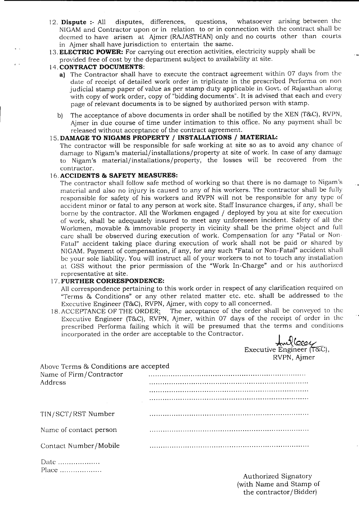- 12. **Dispute :-** All disputes, differences, questions, whatsoever arising between the NIGAMand Contractor upon or in relation to or in connection with the contract shall be deemed to have arisen at Ajmer (RAJASTHAN) only and no courts other than courts in Ajmer shall have jurisdiction to entertain the same.
- 13.**ELECTRIC POWER:** For carrying out erection activities, electricity supply shall be provided free of cost by the department subject to availability at site.

#### 14. **CONTRACT DOCUMENTS:**

- **a)** The Contractor shall have to execute the contract agreement within 07 days from the date of receipt of detailed work order in triplicate in the prescribed Performa on non judicial stamp paper of value as per stamp duty applicable in Govt. of Rajasthan along with copy of work order, copy of "bidding documents". It is advised that each and every page of relevant documents is to be signed by authorized person with stamp.
- b) The acceptance of above documents in order shall be notified by the XEN (T&C), RVPN, Ajmer in due course of time under intimation to this office. No any payment shall be released without acceptance of the contract agreement.

#### 15. **DAMAGE TO NIGAMS PROPERTY / INSTALLATIONS / MATERIAL:**

The contractor will be responsible for safe working at site so as to avoid any chance of damage to Nigam's material/installations/property at site of work. In case of any damage to Nigam's material/installations/property, the losses will be recovered from the contractor.

#### 16.**ACCIDENTS & SAFETY MEASURES:**

The contractor shall follow safe method of working so that there is no damage to Nigam's material and also no injury is caused to any of his workers. The contractor shall be fully responsible for safety of his workers and RVPN will not be responsible for any type of accident minor or fatal to any person at work site. Staff Insurance charges, if any, shall be borne by the contractor. All the Workmen engaged / deployed by you at site for execution of work, shall be adequately insured to meet any unforeseen incident. Safety of all the Workmen, movable & immovable property in vicinity shall be the prime object and full care shall be observed during execution of work. Compensation for any "Fatal or Non-Fatal" accident taking place during execution of work shall not be paid or shared by NIGAM.Payment of compensation, if any, for any such "Fatal or Non-Fatal" accident shall be your sole liability. You will instruct all of your workers to not to touch any installation at GSS without the prior permission of the "Work In-Charge" and or his authorized representative at site.

#### 17. **FURTHER CORRESPONDENCE:**

Place ....................

All correspondence pertaining to this work order in respect of any clarification required on "Terms & Conditions" or any other related matter etc. etc. shall be addressed to the Executive Engineer (T&C), RVPN, Ajmer, with copy to all concerned.

18. ACCEPTANCE OF THE ORDER $:$  The acceptance of the order shall be conveyed to the Executive Engineer (T&C), RVPN, Ajmer, within 07 days of the receipt of order in the prescribed Performa failing which it will be presumed that the terms and conditions incorporated in the order are acceptable to the Contractor.

|                                                                  | Executive Engineer (T&C),<br>RVPN, Ajmer |
|------------------------------------------------------------------|------------------------------------------|
| Above Terms & Conditions are accepted<br>Name of Firm/Contractor |                                          |
| Address                                                          |                                          |
| TIN/SCT/RST Number                                               |                                          |
| Name of contact person                                           |                                          |
| Contact Number/Mobile                                            |                                          |
| Date                                                             |                                          |

Authorized Signatory (with Name and Stamp of the contractor /Bidder)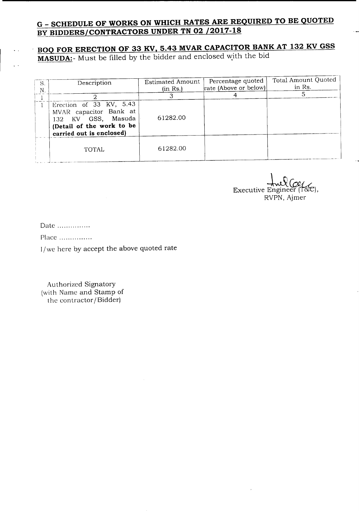## G - **SCHEDULE OF WORKS ON WHICH RATES ARE REQUIRED TO BE QUOTED BY BIDDERS/CONTRACTORS UNDER TN 02 /2017-18**

# **BOQ FOR ERECTION OF 33 KV, 5.43 MVAR CAPACITOR BANK AT 132 KV GSS**

**MASUDA:-** Must be filled by the bidder and enclosed with the bid

| S<br>N | Description                                                                                                                      | <b>Estimated Amount</b><br>(in Rs.) | Percentage quoted<br>rate (Above or below) | Total Amount Quoted<br>in Rs. |
|--------|----------------------------------------------------------------------------------------------------------------------------------|-------------------------------------|--------------------------------------------|-------------------------------|
|        |                                                                                                                                  |                                     |                                            |                               |
|        | Erection of 33 KV, 5.43<br>MVAR capacitor Bank at<br>132 KV GSS, Masuda<br>(Detail of the work to be<br>carried out is enclosed) | 61282.00                            |                                            |                               |
|        | <b>TOTAL</b>                                                                                                                     | 61282.00                            |                                            |                               |

Executive Engineer ₩, RVPN, Ajmer

Date .

 $\ddotsc$ 

Place ...............

[/ we here by accept the above quoted rate

Authorized Signatory (with Name and Stamp of the contractor/Bidder)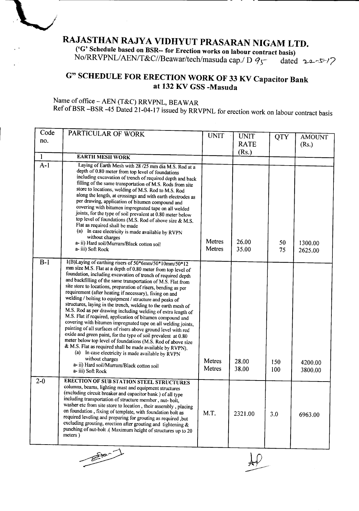

('G' Schedule based on BSR-- for Erection works on labour contract basis)

*No/RRVPNL/AEN/T&C//Beawar/tech/masuda cap./ D 95 dated 22-5/7* 

## G" SCHEDULE FOR ERECTION WORK OF 33 KV Capacitor Bank at 132KV GSS -Masuda

Name of office - AEN (T*&C)* RRVPNL, BEAWAR

Ref of BSR -BSR -45 Dated 21-04-17 issued by RRVPNL for erection work on labour contract basis

| Code         | PARTICULAR OF WORK                                                                                                              | <b>UNIT</b> | <b>UNIT</b> |            |               |
|--------------|---------------------------------------------------------------------------------------------------------------------------------|-------------|-------------|------------|---------------|
| no.          |                                                                                                                                 |             | <b>RATE</b> | <b>QTY</b> | <b>AMOUNT</b> |
|              |                                                                                                                                 |             |             |            | (Rs.)         |
| $\mathbf{1}$ | <b>EARTH MESH WORK</b>                                                                                                          |             | (Rs.)       |            |               |
| $A-1$        | Laying of Earth Mesh with 28/25 mm dia M.S. Rod at a                                                                            |             |             |            |               |
|              | depth of 0.80 meter from top level of foundations                                                                               |             |             |            |               |
|              | including excavation of trench of required depth and back                                                                       |             |             |            |               |
|              | filling of the same transportation of M.S. Rods from site<br>store to locations, welding of M.S. Rod to M.S. Rod                |             |             |            |               |
|              | along the length, at crossings and with earth electrodes as                                                                     |             |             |            |               |
|              | per drawing, application of bitumen compound and                                                                                |             |             |            |               |
|              | covering with bitumen impregnated tape on all welded                                                                            |             |             |            |               |
|              | joints, for the type of soil prevalent at 0.80 meter below<br>top level of foundations (M.S. Rod of above size & M.S.           |             |             |            |               |
|              | Flat as required shall be made                                                                                                  |             |             |            |               |
|              | (a) In case electricity is made available by RVPN                                                                               |             |             |            |               |
|              | without charges<br>a- ii) Hard soil/Murram/Black cotton soil                                                                    | Metres      | 26.00       | 50         | 1300.00       |
|              | a- iii) Soft Rock                                                                                                               | Metres      | 35.00       | 75         | 2625.00       |
|              |                                                                                                                                 |             |             |            |               |
| $B-1$        | 1(B)Laying of earthing risers of 50*6mm/50*10mm/50*12                                                                           |             |             |            |               |
|              | mm size M.S. Flat at a depth of 0.80 meter from top level of<br>foundation, including excavation of trench of required depth    |             |             |            |               |
|              | and backfilling of the same transportation of M.S. Flat from                                                                    |             |             |            |               |
|              | site store to locations, preparation of risers, bending as per                                                                  |             |             |            |               |
|              | requirement (after heating if necessary), fixing on and                                                                         |             |             |            |               |
|              | welding / bolting to equipment / structure and peaks of<br>structures, laying in the trench, welding to the earth mesh of       |             |             |            |               |
|              | M.S. Rod as per drawing including welding of extra length of                                                                    |             |             |            |               |
|              | M.S. Flat if required, application of bitumen compound and                                                                      |             |             |            |               |
|              | covering with bitumen impregnated tape on all welding joints,                                                                   |             |             |            |               |
|              | painting of all surfaces of risers above ground level with red<br>oxide and green paint, for the type of soil prevalent at 0.80 |             |             |            |               |
|              | meter below top level of foundations (M.S. Rod of above size                                                                    |             |             |            |               |
|              | & M.S. Flat as required shall be made available by RVPN).                                                                       |             |             |            |               |
|              | (a) In case electricity is made available by RVPN<br>without charges                                                            |             |             |            |               |
|              | a- ii) Hard soil/Murram/Black cotton soil                                                                                       | Metres      | 28.00       | 150        | 4200.00       |
|              | a-iii) Soft Rock                                                                                                                | Metres      | 38.00       | 100        | 3800.00       |
| $2 - 0$      | <b>ERECTION OF SUB STATION STEEL STRUCTURES</b>                                                                                 |             |             |            |               |
|              | columns, beams, lighting mast and equipment structures                                                                          |             |             |            |               |
|              | (excluding circuit breaker and capacitor bank) of all type                                                                      |             |             |            |               |
|              | including transportation of structure member, nut- bolt,<br>washer etc from site store to location, their assembly, placing     |             |             |            |               |
|              | on foundation, fixing of template, with foundation bolt as                                                                      | M.T.        | 2321.00     | 3.0        | 6963.00       |
|              | required leveling and preparing for grouting as required ,but                                                                   |             |             |            |               |
|              | excluding grouting, erection after grouting and tightening $\&$<br>punching of nut-bolt (Maximum height of structures up to 20  |             |             |            |               |
|              | meters)                                                                                                                         |             |             |            |               |
|              |                                                                                                                                 |             |             |            |               |
|              |                                                                                                                                 |             |             |            |               |

 $\frac{1}{\sqrt{2\pi}}$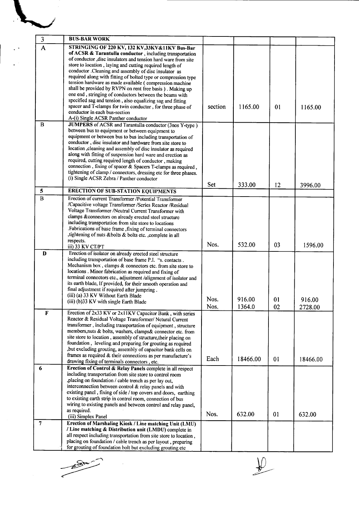| 3              | <b>BUS-BAR WORK</b>                                                                                                             |         |          |    |          |
|----------------|---------------------------------------------------------------------------------------------------------------------------------|---------|----------|----|----------|
| $\mathbf{A}$   | STRINGING OF 220 KV, 132 KV, 33KV&11KV Bus-Bar                                                                                  |         |          |    |          |
|                | of ACSR & Tarantulla conductor, including transportation                                                                        |         |          |    |          |
|                | of conductor , disc insulators and tension hard ware from site                                                                  |         |          |    |          |
|                | store to location, laying and cutting required length of                                                                        |         |          |    |          |
|                | conductor .Cleaning and assembly of disc insulator as                                                                           |         |          |    |          |
|                | required along with fitting of bolted type or compression type                                                                  |         |          |    |          |
|                | tension hardware as made available (compression machine<br>shall be provided by RVPN on rent free basis). Making up             |         |          |    |          |
|                | one end, stringing of conductors between the beams with                                                                         |         |          |    |          |
|                | specified sag and tension, also equalizing sag and fitting                                                                      |         |          |    |          |
|                | spacer and T-clamps for twin conductor, for three phase of                                                                      | section | 1165.00  | 01 | 1165.00  |
|                | conductor in each bus-section                                                                                                   |         |          |    |          |
|                | A-(i) Single ACSR Panther conductor                                                                                             |         |          |    |          |
| B              | <b>JUMPERS</b> of ACSR and Tarantulla conductor (3nos Y-type)                                                                   |         |          |    |          |
|                | between bus to equipment or between equipment to                                                                                |         |          |    |          |
|                | equipment or between bus to bus including transportation of                                                                     |         |          |    |          |
|                | conductor, disc insulator and hardware from site store to                                                                       |         |          |    |          |
|                | location , cleaning and assembly of disc insulator as required                                                                  |         |          |    |          |
|                | along with fitting of suspension hard ware and erection as                                                                      |         |          |    |          |
|                | required, cutting required length of conductor, making                                                                          |         |          |    |          |
|                | connection, fixing of spacer & Spacers T-clamps as required,                                                                    |         |          |    |          |
|                | tightening of clamp / connectors, dressing etc for three phases.<br>(i) Single ACSR Zebra / Panther conductor                   |         |          |    |          |
|                |                                                                                                                                 | Set     | 333.00   |    |          |
| 5              | <b>ERECTION OF SUB-STATION EQUIPMENTS</b>                                                                                       |         |          | 12 | 3996.00  |
| $\bf{B}$       | Erection of current Transformer /Potential Transformer                                                                          |         |          |    |          |
|                | /Capacitive voltage Transformer /Series Reactor /Residual                                                                       |         |          |    |          |
|                | Voltage Transformer /Neutral Current Transformer with                                                                           |         |          |    |          |
|                | clamps &connectors on already erected steel structure                                                                           |         |          |    |          |
|                | including transportation from site store to locations                                                                           |         |          |    |          |
|                | Fabrications of base frame , fixing of terminal connectors                                                                      |         |          |    |          |
|                | , tightening of nuts & bolts & bolts etc., complete in all                                                                      |         |          |    |          |
|                | respects.                                                                                                                       |         |          |    |          |
|                | iii) 33 KV CT/PT                                                                                                                | Nos.    | 532.00   | 03 | 1596.00  |
| D              | Erection of isolator on already erected steel structure                                                                         |         |          |    |          |
|                | including transportation of base frame P.I. "s. contacts.                                                                       |         |          |    |          |
|                | Mechanism box, clamps & connectors etc. from site store to                                                                      |         |          |    |          |
|                | locations . Minor fabrication as required and fixing of                                                                         |         |          |    |          |
|                | terminal connectors etc., adjustment /alignment of isolator and<br>its earth blade, If provided, for their smooth operation and |         |          |    |          |
|                | final adjustment if required after jumpring.                                                                                    |         |          |    |          |
|                | (iii) (a) 33 KV Without Earth Blade                                                                                             |         |          |    |          |
|                | (iii) (b)33 KV with single Earth Blade                                                                                          | Nos.    | 916.00   | 01 | 916.00   |
|                |                                                                                                                                 | Nos.    | 1364.0   | 02 | 2728.00  |
| $\mathbf F$    | Erection of 2x33 KV or 2x11KV Capacitor Bank, with series                                                                       |         |          |    |          |
|                | Reactor & Residual Voltage Transformer/ Netural Current                                                                         |         |          |    |          |
|                | transformer, including transportation of equipment, structure                                                                   |         |          |    |          |
|                | members, nuts & bolts, washers, clamps& connector etc. from                                                                     |         |          |    |          |
|                | site store to location, assembly of structure, their placing on                                                                 |         |          |    |          |
|                | foundation, leveling and preparing for grouting as required                                                                     |         |          |    |          |
|                | ,but excluding grouting, assembly of capacitor bank cells on                                                                    |         |          |    |          |
|                | frames as required & their connections as per manufacture's<br>drawing fixing of terminals connectors, etc.                     | Each    | 18466.00 | 01 | 18466.00 |
| 6              | Erection of Control & Relay Panels complete in all respect                                                                      |         |          |    |          |
|                | including transportation from site store to control room                                                                        |         |          |    |          |
|                | ,placing on foundation / cable trench as per lay out,                                                                           |         |          |    |          |
|                | interconnection between control & relay panels and with                                                                         |         |          |    |          |
|                | existing panel, fixing of side / top covers and doors, earthing                                                                 |         |          |    |          |
|                | to existing earth strip in control room, connection of bus                                                                      |         |          |    |          |
|                | wiring to existing panels and between control and relay panel,                                                                  |         |          |    |          |
|                | as required.                                                                                                                    |         |          |    |          |
|                | (iii) Simplex Panel                                                                                                             | Nos.    | 632.00   | 01 | 632.00   |
| $\overline{7}$ | Erection of Marshaling Kiosk / Line matching Unit (LMU)                                                                         |         |          |    |          |
|                | / Line matching & Distribution unit (LMDU) complete in                                                                          |         |          |    |          |
|                | all respect including transportation from site store to location,                                                               |         |          |    |          |
|                | placing on foundation / cable trench as per layout, preparing                                                                   |         |          |    |          |
|                | for grouting of foundation bolt but excluding grouting etc                                                                      |         |          |    |          |

 $\begin{picture}(20,20) \put(0,0){\vector(1,0){10}} \put(15,0){\vector(1,0){10}} \put(15,0){\vector(1,0){10}} \put(15,0){\vector(1,0){10}} \put(15,0){\vector(1,0){10}} \put(15,0){\vector(1,0){10}} \put(15,0){\vector(1,0){10}} \put(15,0){\vector(1,0){10}} \put(15,0){\vector(1,0){10}} \put(15,0){\vector(1,0){10}} \put(15,0){\vector(1,0){10}} \put(15,0){\vector(1$ 

 $\frac{1}{2}$